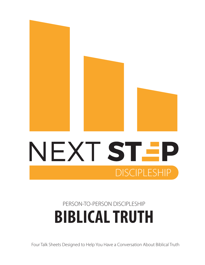

## **BIBLICAL TRUTH** PERSON-TO-PERSON DISCIPLESHIP

**DISCIPLESHIP** 

Four Talk Sheets Designed to Help You Have a Conversation About Biblical Truth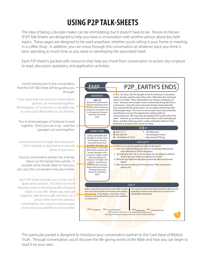## **USING P2P TALK-SHEETS**

The idea of being a disciple-maker can be intimidating; but it doesn't have to be. Person-to-Person (P2P) Talk-Sheets are designed to help you have a conversation with another person about key faith topics. These pages are designed to be used anywhere, whether you're sitting in your home or meeting in a coffee shop. In addition, you can move through this conversation at whatever pace you think is best, spending as much time as you need on developing the associated habit.

Each P2P sheet is packed with resources that help you move from conversation to action: key scripture to read, discussion questions, and application activities.



This particular packet is designed to introduce your conversation partner to the Core Value of Biblical Truth. Through conversation, you'll discover the life-giving words of the Bible and how you can begin to read it on your own.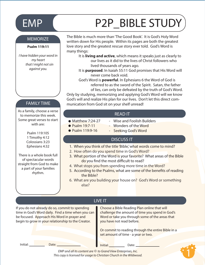# EMP (P2P\_BIBLE STUDY

#### **MEMORIZE**

#### **Psalm 119:11**

*I have hidden your word in my heart that I might not sin against you.*

### FAMILY TIME

As a family, choose a verse to memorize this week. Some great verses to start with are:

> Psalm 119:105 1 Timothy 4:12 Colossians 3:23 Ephesians 4:32

There is a whole book full of spectacular words straight from God to make a part of your families rhythm.

The Bible is much more than 'The Good Book'. It is God's Holy Word written down for His people. Within its pages are both the greatest love story and the greatest rescue story ever told. God's Word is many things:

 It is **living and active**, which means it speaks just as clearly to our lives as it did to the lives of Christ followers who lived thousands of years ago.

 It is **purposed**. In Isaiah 55:11 God promises that His Word will never come back void.

 God's Word is **powerful**. In Ephesians 6 the Word of God is referred to as the sword of the Spirit. Satan, the father of lies, can only be defeated by the truth of God's Word.

Only by studying, memorizing and applying God's Word will we know God's will and realize His plan for our lives. Don't let this direct communication from God sit on your shelf unread!

#### READ IT

- Matthew 7:24-27
	- Wise and Foolish Builders
- Psalm 19:7-11 ● Psalm 119:9-16
- Wonders of the Word
- Seeking God's Word

#### DISCUSS IT

- 1. When you think of the title 'Bible,' what words come to mind?
- 2. How often do you spend time in God's Word?
- 3. What portion of the Word is your favorite? What areas of the Bible do you find the most difficult to read?
- 4. What stops you from spending more time in the Word?
- 5. According to the Psalms, what are some of the benefits of reading the Bible?
- 6. What are you building your house on? God's Word or something else?

### LIVE IT

If you do not already do so, commit to spending time in God's Word daily. Find a time when you can be focused. Approach His Word in prayer and begin to grow in your relationship to the Creator.

Choose a Bible Reading Plan online that will challenge the amount of time you spend in God's Word or take you through some of the areas that you have not read before.

Or commit to reading through the entire Bible in a set amount of time - a year or two.

Initial: Date: Date: Date: Date: Date: Date: Date:

1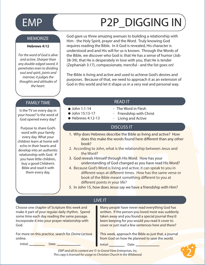# EMP (P2P\_DIGGING IN

#### **MEMORIZE**

#### **Hebrews 4:12**

*For the word of God is alive and active. Sharper than any double-edged sword, it penetrates even to dividing soul and spirit, joints and marrow; it judges the thoughts and attitudes of the heart.*

#### FAMILY TIME **READ IT**

Is the TV on every day in your house? Is the word of God opened every day?

Purpose to share God's word with your family every day. What your children learn at home will echo in their hearts and develop into an authentic relationship with God. If you have little children, buy a good Children's Bible and read it with them every day.

God gave us three amazing avenues to building a relationship with Him - the Holy Spirit, prayer and the Word. Truly knowing God requires reading the Bible. In it God is revealed, His character is understood and and His will for us is known. Through the Words of the Bible, we discover who God is: that He has a sense of humor (Job 38-39), that He is desperately in love with you, that He is tender (Zephaniah 3:17), compassionate, merciful - and the list goes on!

The Bible is living and active and used to achieve God's desires and purposes. Because of that, we need to approach it as an extension of God in this world and let it shape us in a very real and personal way.

 $\bullet$  John 1:1-14 - The Word in Flesh

 $\bullet$  John 15:13-17  $\bullet$  Hebrews 4:12-13

- Friendship with Christ
	- Living and Active

#### DISCUSS IT

- 1. Why does Hebrews describe the Bible as living and active? How does this make the words found here different than any other book?
- 2. According to John, what is the relationship between Jesus and the Word?
- 3. God reveals Himself through His Word. How has your understanding of God changed as you have read His Word?
- 4. Because God's Word is living and active, it can speak to you in different ways at different times. How has the same verse or book of the Bible meant something different to you at different points in your life?
- 5. In John 15, how does Jesus say we have a friendship with Him?

|                                                                                                                                                                                                                | LIVE IT                                                                                                                                                                                                                                                            |
|----------------------------------------------------------------------------------------------------------------------------------------------------------------------------------------------------------------|--------------------------------------------------------------------------------------------------------------------------------------------------------------------------------------------------------------------------------------------------------------------|
| Choose one chapter of Scripture this week and<br>make it part of your regular daily rhythm. Spend<br>some time each day reading the same passage.<br>Incorporate it into your prayer relationship with<br>God. | Many people have never read everything God has<br>written. If the person you loved most was suddenly<br>taken away and you found a special journal they'd<br>been keeping for you would you read it cover to<br>cover or just read a few sentences here and there? |
| For more on this practice, search for Divine Lectura<br>online.<br>Initial:<br>Date:                                                                                                                           | This week, approach the Bible as just that, a journal<br>from God on how He planned to save the world.<br>Initial:<br>Date:                                                                                                                                        |
|                                                                                                                                                                                                                |                                                                                                                                                                                                                                                                    |

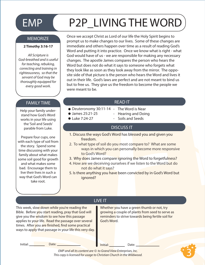# EMP P2P\_LIVING THE WORD

#### **MEMORIZE**

#### **2 Timothy 3:16-17**

*All Scripture is God-breathed and is useful for teaching, rebuking, correcting and training in righteousness, so that the servant of God may be thoroughly equipped for every good work.*

### FAMILY TIME **READ IT**

Help your family understand how God's Word works in your life using the 'Soil and Seeds' parable from Luke.

Prepare four cups, one with each type of soil from the story. Spend some time discussing with your family about what makes some soil good for growth and what makes some bad. Encourage them to live their lives in such a way that God's Word can take root.

Once we accept Christ as Lord of our life the Holy Spirit begins to prompt us to make changes to our lives. Some of these changes are immediate and others happen over time as a result of reading God's Word and putting it into practice. Once we know what is right - what God would have of us - we are responsible for making any necessary changes. The apostle James compares the person who hears the Word but does not do what it says to someone who forgets what they look like as soon as they look away from the mirror. The opposite side of that picture is the person who hears the Word and lives it out in their life. God's laws are perfect and are not meant to bind us but to free us. They give us the freedom to become the people we were meant to be.

- Deuteronomy 30:11-14 The Word is Near
- James 25:21-25
- $\bullet$  Luke 7:24-27
- Hearing and Doing
- Soils and Seeds

### DISCUSS IT

- 1. Discuss the ways God's Word has blessed you and given you freedom.
- 2. To what type of soil do you most compare to? What are some ways in which you can personally become more responsive to God's Word?
- 3. Why does James compare ignoring the Word to forgetfulness?
- 4. How are we deceiving ourselves if we listen to the Word but do not do what it says?
- 5. Is there anything you have been convicted by in God's Word but ignored?

This week, slow down while you're reading the Bible. Before you start reading, pray that God will give you the wisdom to see how this passage applies to your life. Read the passage over several times. After you are finished, find some practical ways to apply that passage in your life this very day.

## LIVE IT

Whether you have a green thumb or not, try growing a couple of plants from seed to serve as reminders to strive towards being fertile soil for God's Word.

Initial: Date: Date: Date: **Initial:** Date:

3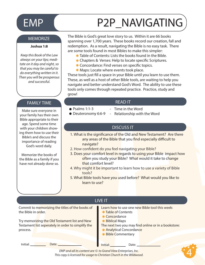## EMP P2P\_NAVIGATING

#### **MEMORIZE**

#### **Joshua 1:8**

*Keep this Book of the Law always on your lips; meditate on it day and night, so that you may be careful to do everything written in it. Then you will be prosperous and successful.*

### FAMILY TIME **The Contract of Contract Contract Contract Contract Contract Contract Contract Contract Contract Contract Contract Contract Contract Contract Contract Contract Contract Contract Contract Contract Contract Cont**

Make sure everyone in your family has their own Bible appropriate to their age. Spend some time with your children showing them how to use their Bible's and discuss the importance of reading God's word daily.

Memorize the books of the Bible as a family if you have not already done so.

The Bible is God's great love story to us. Within it are 66 books spanning over 1,700 years. These books record our creation, fall and redemption. As a result, navigating the Bible is no easy task. There are some tools found in most Bibles to make this simpler:

- Table of Contents: Lists the books found in the Bible.
- Chapters & Verses: Help to locate specific Scriptures.
- Concordance: Find verses on specific topics.
- Maps: Locate where events took place.

These tools just fill a space in your Bible until you learn to use them. These, as well as a host of other Bible tools, are waiting to help you navigate and better understand God's Word. The ability to use these tools only comes through repeated practice. Practice, study and grow!

- $\bullet$  Psalms 1:1-3 Deuteronomy 6:6-9
- Time in the Word
- Relationship with the Word

#### DISCUSS IT

- 1. What is the significance of the Old and New Testament? Are there any areas of the Bible that you find especially difficult to navigate?
- 2. How confident do you feel navigating your Bible?
- 3. Does your comfort level in regards to using your Bible impact how often you study your Bible? What would it take to change that comfort level?
- 4. Why might it be important to learn how to use a variety of Bible tools?
- 5. What Bible tools have you used before? What would you like to learn to use?

4

| LIVE IT                                                                                                         |                                                                                                                               |  |
|-----------------------------------------------------------------------------------------------------------------|-------------------------------------------------------------------------------------------------------------------------------|--|
| Commit to memorizing the titles of the books of<br>the Bible in order.                                          | Learn how to use one new Bible tool this week:<br>• Table of Contents<br>• Concordance                                        |  |
| Try memorizing the Old Testament list and New<br>Testament list seperately in order to simplify the<br>process. | • Biblical Maps<br>The next two you may find online or in a bookstore:<br><b>Analytical Concordance</b><br>• Bible Commentary |  |
| Initial:<br>Date:                                                                                               | Initial:<br>Date:                                                                                                             |  |